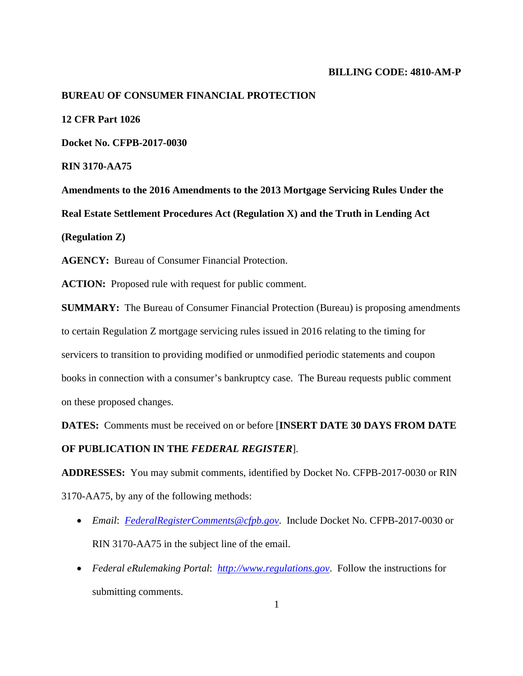### **BILLING CODE: 4810-AM-P**

#### **BUREAU OF CONSUMER FINANCIAL PROTECTION**

**12 CFR Part 1026** 

**Docket No. CFPB-2017-0030** 

**RIN 3170-AA75** 

**Amendments to the 2016 Amendments to the 2013 Mortgage Servicing Rules Under the Real Estate Settlement Procedures Act (Regulation X) and the Truth in Lending Act (Regulation Z)** 

**AGENCY:** Bureau of Consumer Financial Protection.

**ACTION:** Proposed rule with request for public comment.

**SUMMARY:** The Bureau of Consumer Financial Protection (Bureau) is proposing amendments to certain Regulation Z mortgage servicing rules issued in 2016 relating to the timing for servicers to transition to providing modified or unmodified periodic statements and coupon books in connection with a consumer's bankruptcy case. The Bureau requests public comment on these proposed changes.

**DATES:** Comments must be received on or before [**INSERT DATE 30 DAYS FROM DATE** 

#### **OF PUBLICATION IN THE** *FEDERAL REGISTER*].

**ADDRESSES:** You may submit comments, identified by Docket No. CFPB-2017-0030 or RIN 3170-AA75, by any of the following methods:

- *Email*: *FederalRegisterComments@cfpb.gov*. Include Docket No. CFPB-2017-0030 or RIN 3170-AA75 in the subject line of the email.
- *Federal eRulemaking Portal*: *http://www.regulations.gov*. Follow the instructions for submitting comments.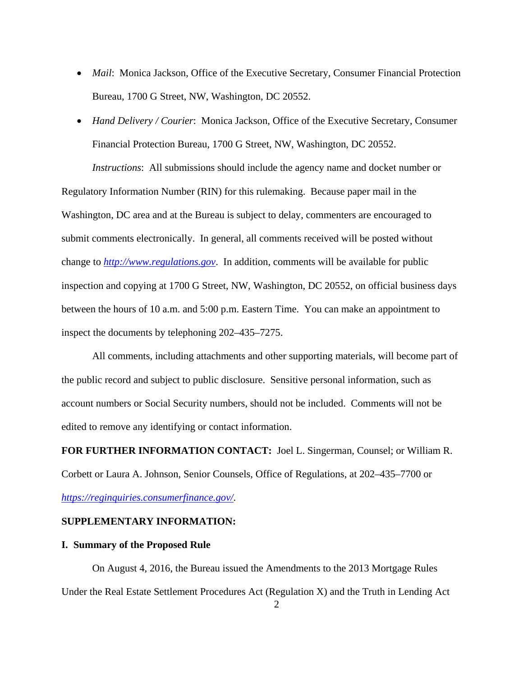- *Mail*: Monica Jackson, Office of the Executive Secretary, Consumer Financial Protection Bureau, 1700 G Street, NW, Washington, DC 20552.
- *Hand Delivery / Courier*: Monica Jackson, Office of the Executive Secretary, Consumer Financial Protection Bureau, 1700 G Street, NW, Washington, DC 20552.

*Instructions*: All submissions should include the agency name and docket number or Regulatory Information Number (RIN) for this rulemaking. Because paper mail in the Washington, DC area and at the Bureau is subject to delay, commenters are encouraged to submit comments electronically. In general, all comments received will be posted without change to *http://www.regulations.gov*. In addition, comments will be available for public inspection and copying at 1700 G Street, NW, Washington, DC 20552, on official business days between the hours of 10 a.m. and 5:00 p.m. Eastern Time. You can make an appointment to inspect the documents by telephoning 202–435–7275.

All comments, including attachments and other supporting materials, will become part of the public record and subject to public disclosure. Sensitive personal information, such as account numbers or Social Security numbers, should not be included. Comments will not be edited to remove any identifying or contact information.

**FOR FURTHER INFORMATION CONTACT:** Joel L. Singerman, Counsel; or William R. Corbett or Laura A. Johnson, Senior Counsels, Office of Regulations, at 202–435–7700 or

# *https://reginquiries.consumerfinance.gov/*.

# **SUPPLEMENTARY INFORMATION:**

## **I. Summary of the Proposed Rule**

On August 4, 2016, the Bureau issued the Amendments to the 2013 Mortgage Rules Under the Real Estate Settlement Procedures Act (Regulation X) and the Truth in Lending Act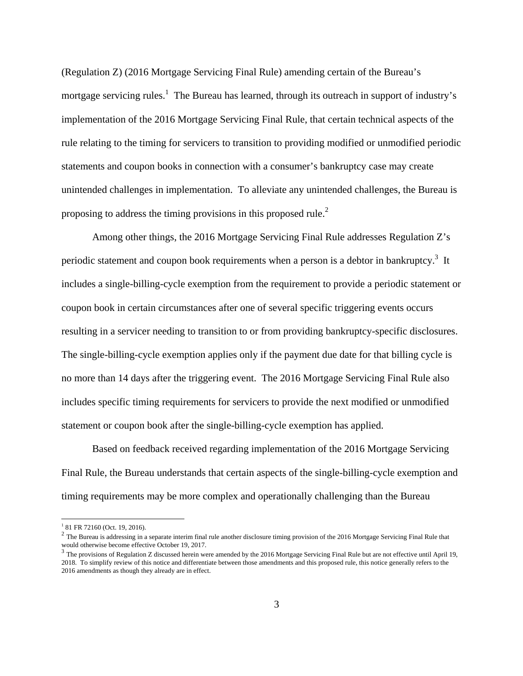(Regulation Z) (2016 Mortgage Servicing Final Rule) amending certain of the Bureau's mortgage servicing rules.<sup>1</sup> The Bureau has learned, through its outreach in support of industry's implementation of the 2016 Mortgage Servicing Final Rule, that certain technical aspects of the rule relating to the timing for servicers to transition to providing modified or unmodified periodic statements and coupon books in connection with a consumer's bankruptcy case may create unintended challenges in implementation. To alleviate any unintended challenges, the Bureau is proposing to address the timing provisions in this proposed rule.<sup>2</sup>

Among other things, the 2016 Mortgage Servicing Final Rule addresses Regulation Z's periodic statement and coupon book requirements when a person is a debtor in bankruptcy.<sup>3</sup> It includes a single-billing-cycle exemption from the requirement to provide a periodic statement or coupon book in certain circumstances after one of several specific triggering events occurs resulting in a servicer needing to transition to or from providing bankruptcy-specific disclosures. The single-billing-cycle exemption applies only if the payment due date for that billing cycle is no more than 14 days after the triggering event. The 2016 Mortgage Servicing Final Rule also includes specific timing requirements for servicers to provide the next modified or unmodified statement or coupon book after the single-billing-cycle exemption has applied.

Based on feedback received regarding implementation of the 2016 Mortgage Servicing Final Rule, the Bureau understands that certain aspects of the single-billing-cycle exemption and timing requirements may be more complex and operationally challenging than the Bureau

<sup>&</sup>lt;sup>1</sup> 81 FR 72160 (Oct. 19, 2016).

<sup>&</sup>lt;sup>2</sup> The Bureau is addressing in a separate interim final rule another disclosure timing provision of the 2016 Mortgage Servicing Final Rule that would otherwise become effective October 19, 2017.

 $3$  The provisions of Regulation Z discussed herein were amended by the 2016 Mortgage Servicing Final Rule but are not effective until April 19, 2018. To simplify review of this notice and differentiate between those amendments and this proposed rule, this notice generally refers to the 2016 amendments as though they already are in effect.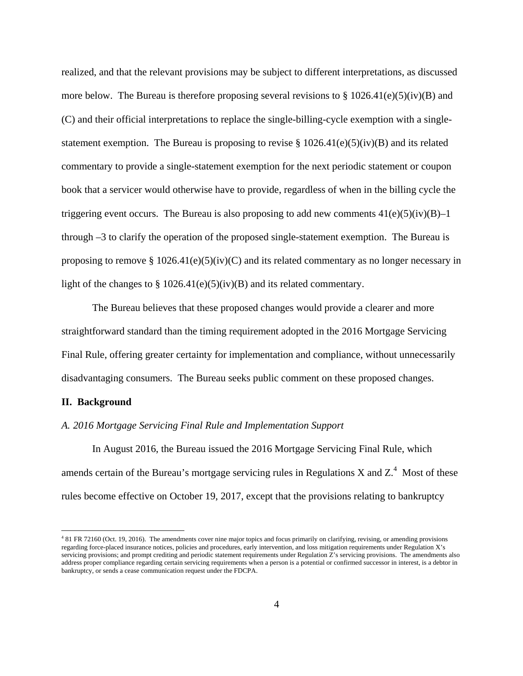realized, and that the relevant provisions may be subject to different interpretations, as discussed more below. The Bureau is therefore proposing several revisions to  $\S 1026.41(e)(5)(iv)(B)$  and (C) and their official interpretations to replace the single-billing-cycle exemption with a singlestatement exemption. The Bureau is proposing to revise  $\S 1026.41(e)(5)(iv)(B)$  and its related commentary to provide a single-statement exemption for the next periodic statement or coupon book that a servicer would otherwise have to provide, regardless of when in the billing cycle the triggering event occurs. The Bureau is also proposing to add new comments  $41(e)(5)(iv)(B)-1$ through –3 to clarify the operation of the proposed single-statement exemption. The Bureau is proposing to remove  $\S 1026.41(e)(5)(iv)(C)$  and its related commentary as no longer necessary in light of the changes to  $\S 1026.41(e)(5)(iv)(B)$  and its related commentary.

The Bureau believes that these proposed changes would provide a clearer and more straightforward standard than the timing requirement adopted in the 2016 Mortgage Servicing Final Rule, offering greater certainty for implementation and compliance, without unnecessarily disadvantaging consumers. The Bureau seeks public comment on these proposed changes.

#### **II. Background**

1

#### *A. 2016 Mortgage Servicing Final Rule and Implementation Support*

In August 2016, the Bureau issued the 2016 Mortgage Servicing Final Rule, which amends certain of the Bureau's mortgage servicing rules in Regulations X and  $Z^4$ . Most of these rules become effective on October 19, 2017, except that the provisions relating to bankruptcy

<sup>4</sup> 81 FR 72160 (Oct. 19, 2016). The amendments cover nine major topics and focus primarily on clarifying, revising, or amending provisions regarding force-placed insurance notices, policies and procedures, early intervention, and loss mitigation requirements under Regulation X's servicing provisions; and prompt crediting and periodic statement requirements under Regulation Z's servicing provisions. The amendments also address proper compliance regarding certain servicing requirements when a person is a potential or confirmed successor in interest, is a debtor in bankruptcy, or sends a cease communication request under the FDCPA.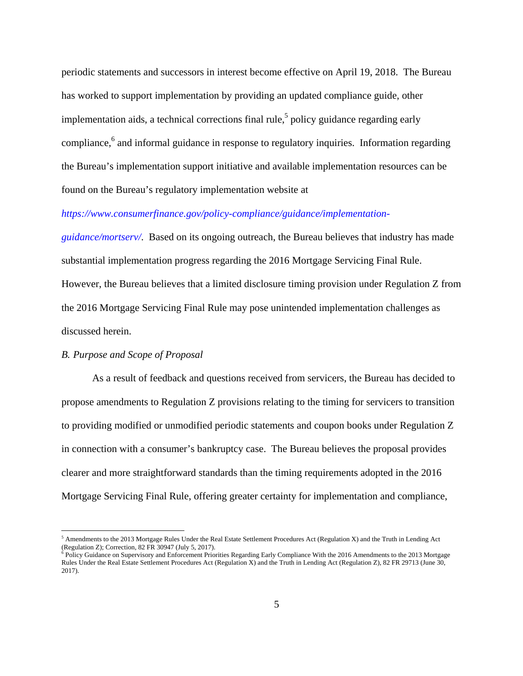periodic statements and successors in interest become effective on April 19, 2018. The Bureau has worked to support implementation by providing an updated compliance guide, other implementation aids, a technical corrections final rule,<sup>5</sup> policy guidance regarding early compliance,<sup>6</sup> and informal guidance in response to regulatory inquiries. Information regarding the Bureau's implementation support initiative and available implementation resources can be found on the Bureau's regulatory implementation website at

### *https://www.consumerfinance.gov/policy-compliance/guidance/implementation-*

*guidance/mortserv/*. Based on its ongoing outreach, the Bureau believes that industry has made substantial implementation progress regarding the 2016 Mortgage Servicing Final Rule. However, the Bureau believes that a limited disclosure timing provision under Regulation Z from the 2016 Mortgage Servicing Final Rule may pose unintended implementation challenges as discussed herein.

## *B. Purpose and Scope of Proposal*

 $\overline{a}$ 

As a result of feedback and questions received from servicers, the Bureau has decided to propose amendments to Regulation Z provisions relating to the timing for servicers to transition to providing modified or unmodified periodic statements and coupon books under Regulation Z in connection with a consumer's bankruptcy case. The Bureau believes the proposal provides clearer and more straightforward standards than the timing requirements adopted in the 2016 Mortgage Servicing Final Rule, offering greater certainty for implementation and compliance,

<sup>&</sup>lt;sup>5</sup> Amendments to the 2013 Mortgage Rules Under the Real Estate Settlement Procedures Act (Regulation X) and the Truth in Lending Act (Regulation Z); Correction, 82 FR 30947 (July 5, 2017).

<sup>&</sup>lt;sup>6</sup> Policy Guidance on Supervisory and Enforcement Priorities Regarding Early Compliance With the 2016 Amendments to the 2013 Mortgage Rules Under the Real Estate Settlement Procedures Act (Regulation X) and the Truth in Lending Act (Regulation Z), 82 FR 29713 (June 30, 2017).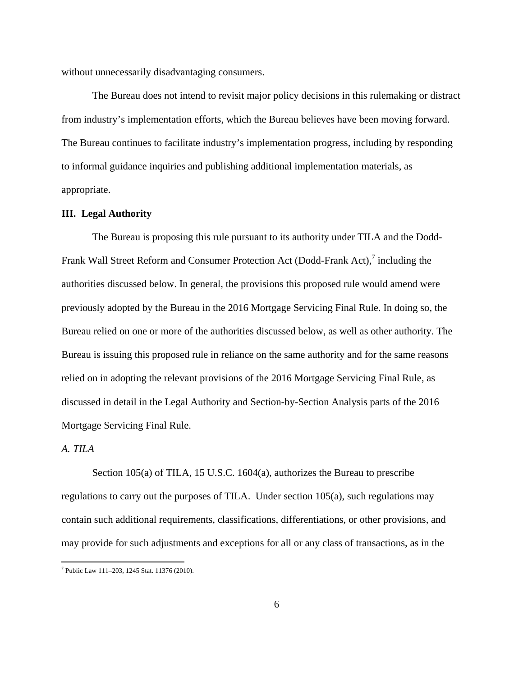without unnecessarily disadvantaging consumers.

The Bureau does not intend to revisit major policy decisions in this rulemaking or distract from industry's implementation efforts, which the Bureau believes have been moving forward. The Bureau continues to facilitate industry's implementation progress, including by responding to informal guidance inquiries and publishing additional implementation materials, as appropriate.

### **III. Legal Authority**

The Bureau is proposing this rule pursuant to its authority under TILA and the Dodd-Frank Wall Street Reform and Consumer Protection Act (Dodd-Frank Act),<sup>7</sup> including the authorities discussed below. In general, the provisions this proposed rule would amend were previously adopted by the Bureau in the 2016 Mortgage Servicing Final Rule. In doing so, the Bureau relied on one or more of the authorities discussed below, as well as other authority. The Bureau is issuing this proposed rule in reliance on the same authority and for the same reasons relied on in adopting the relevant provisions of the 2016 Mortgage Servicing Final Rule, as discussed in detail in the Legal Authority and Section-by-Section Analysis parts of the 2016 Mortgage Servicing Final Rule.

## *A. TILA*

Section 105(a) of TILA, 15 U.S.C. 1604(a), authorizes the Bureau to prescribe regulations to carry out the purposes of TILA. Under section 105(a), such regulations may contain such additional requirements, classifications, differentiations, or other provisions, and may provide for such adjustments and exceptions for all or any class of transactions, as in the

 7 Public Law 111–203, 1245 Stat. 11376 (2010).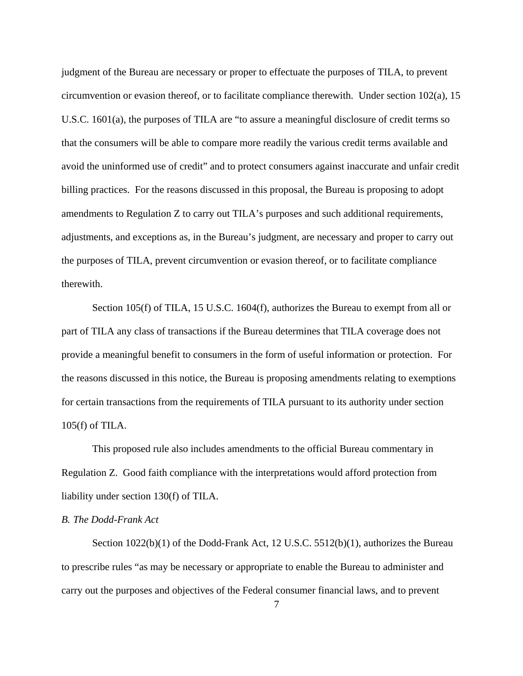judgment of the Bureau are necessary or proper to effectuate the purposes of TILA, to prevent circumvention or evasion thereof, or to facilitate compliance therewith. Under section 102(a), 15 U.S.C. 1601(a), the purposes of TILA are "to assure a meaningful disclosure of credit terms so that the consumers will be able to compare more readily the various credit terms available and avoid the uninformed use of credit" and to protect consumers against inaccurate and unfair credit billing practices. For the reasons discussed in this proposal, the Bureau is proposing to adopt amendments to Regulation Z to carry out TILA's purposes and such additional requirements, adjustments, and exceptions as, in the Bureau's judgment, are necessary and proper to carry out the purposes of TILA, prevent circumvention or evasion thereof, or to facilitate compliance therewith.

Section 105(f) of TILA, 15 U.S.C. 1604(f), authorizes the Bureau to exempt from all or part of TILA any class of transactions if the Bureau determines that TILA coverage does not provide a meaningful benefit to consumers in the form of useful information or protection. For the reasons discussed in this notice, the Bureau is proposing amendments relating to exemptions for certain transactions from the requirements of TILA pursuant to its authority under section 105(f) of TILA.

This proposed rule also includes amendments to the official Bureau commentary in Regulation Z. Good faith compliance with the interpretations would afford protection from liability under section 130(f) of TILA.

### *B. The Dodd-Frank Act*

Section 1022(b)(1) of the Dodd-Frank Act, 12 U.S.C. 5512(b)(1), authorizes the Bureau to prescribe rules "as may be necessary or appropriate to enable the Bureau to administer and carry out the purposes and objectives of the Federal consumer financial laws, and to prevent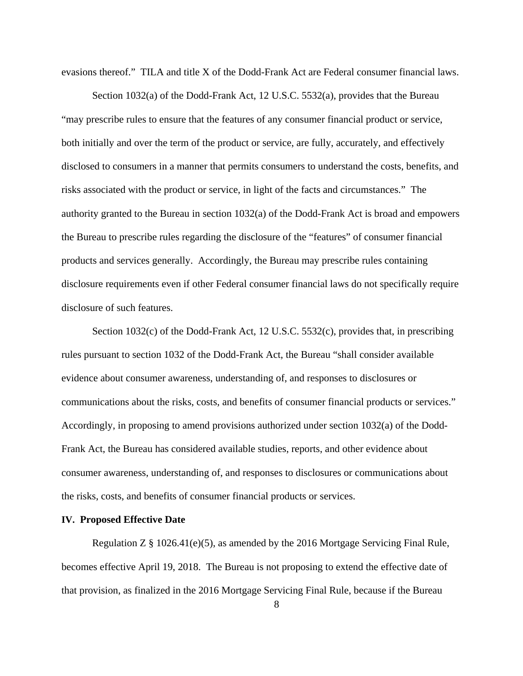evasions thereof." TILA and title X of the Dodd-Frank Act are Federal consumer financial laws.

Section 1032(a) of the Dodd-Frank Act, 12 U.S.C. 5532(a), provides that the Bureau "may prescribe rules to ensure that the features of any consumer financial product or service, both initially and over the term of the product or service, are fully, accurately, and effectively disclosed to consumers in a manner that permits consumers to understand the costs, benefits, and risks associated with the product or service, in light of the facts and circumstances." The authority granted to the Bureau in section 1032(a) of the Dodd-Frank Act is broad and empowers the Bureau to prescribe rules regarding the disclosure of the "features" of consumer financial products and services generally. Accordingly, the Bureau may prescribe rules containing disclosure requirements even if other Federal consumer financial laws do not specifically require disclosure of such features.

Section 1032(c) of the Dodd-Frank Act, 12 U.S.C. 5532(c), provides that, in prescribing rules pursuant to section 1032 of the Dodd-Frank Act, the Bureau "shall consider available evidence about consumer awareness, understanding of, and responses to disclosures or communications about the risks, costs, and benefits of consumer financial products or services." Accordingly, in proposing to amend provisions authorized under section 1032(a) of the Dodd-Frank Act, the Bureau has considered available studies, reports, and other evidence about consumer awareness, understanding of, and responses to disclosures or communications about the risks, costs, and benefits of consumer financial products or services.

### **IV. Proposed Effective Date**

Regulation  $Z \S 1026.41(e)(5)$ , as amended by the 2016 Mortgage Servicing Final Rule, becomes effective April 19, 2018. The Bureau is not proposing to extend the effective date of that provision, as finalized in the 2016 Mortgage Servicing Final Rule, because if the Bureau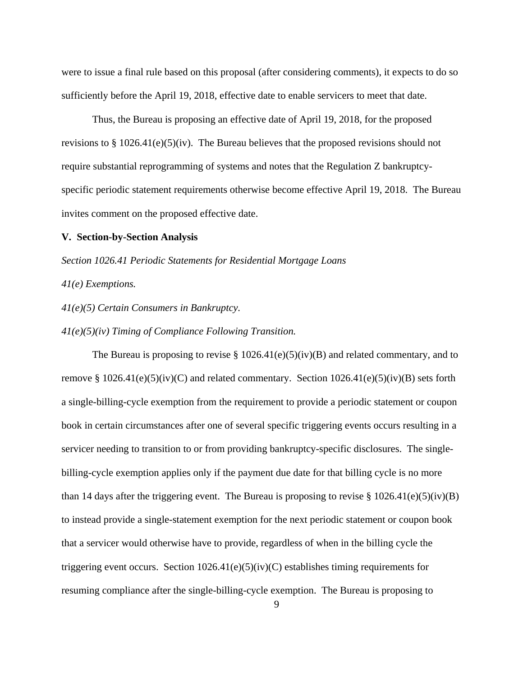were to issue a final rule based on this proposal (after considering comments), it expects to do so sufficiently before the April 19, 2018, effective date to enable servicers to meet that date.

Thus, the Bureau is proposing an effective date of April 19, 2018, for the proposed revisions to § 1026.41(e)(5)(iv). The Bureau believes that the proposed revisions should not require substantial reprogramming of systems and notes that the Regulation Z bankruptcyspecific periodic statement requirements otherwise become effective April 19, 2018. The Bureau invites comment on the proposed effective date.

#### **V. Section-by-Section Analysis**

*Section 1026.41 Periodic Statements for Residential Mortgage Loans* 

*41(e) Exemptions.* 

*41(e)(5) Certain Consumers in Bankruptcy.* 

*41(e)(5)(iv) Timing of Compliance Following Transition.* 

The Bureau is proposing to revise  $\S 1026.41(e)(5)(iv)(B)$  and related commentary, and to remove §  $1026.41(e)(5)(iv)(C)$  and related commentary. Section  $1026.41(e)(5)(iv)(B)$  sets forth a single-billing-cycle exemption from the requirement to provide a periodic statement or coupon book in certain circumstances after one of several specific triggering events occurs resulting in a servicer needing to transition to or from providing bankruptcy-specific disclosures. The singlebilling-cycle exemption applies only if the payment due date for that billing cycle is no more than 14 days after the triggering event. The Bureau is proposing to revise §  $1026.41(e)(5)(iv)(B)$ to instead provide a single-statement exemption for the next periodic statement or coupon book that a servicer would otherwise have to provide, regardless of when in the billing cycle the triggering event occurs. Section 1026.41(e)(5)(iv)(C) establishes timing requirements for resuming compliance after the single-billing-cycle exemption. The Bureau is proposing to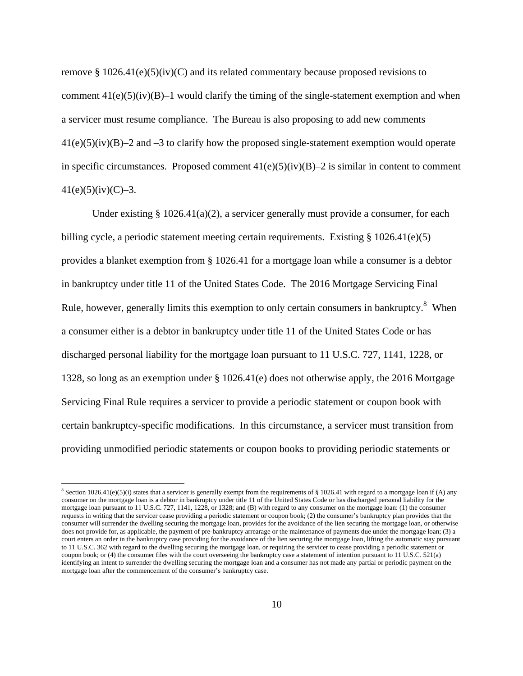remove  $\S 1026.41(e)(5)(iv)(C)$  and its related commentary because proposed revisions to comment  $41(e)(5)(iv)(B)-1$  would clarify the timing of the single-statement exemption and when a servicer must resume compliance. The Bureau is also proposing to add new comments  $41(e)(5)(iv)(B)-2$  and  $-3$  to clarify how the proposed single-statement exemption would operate in specific circumstances. Proposed comment  $41(e)(5)(iv)(B)-2$  is similar in content to comment  $41(e)(5)(iv)(C)-3.$ 

Under existing § 1026.41(a)(2), a servicer generally must provide a consumer, for each billing cycle, a periodic statement meeting certain requirements. Existing  $\S 1026.41(e)(5)$ provides a blanket exemption from § 1026.41 for a mortgage loan while a consumer is a debtor in bankruptcy under title 11 of the United States Code. The 2016 Mortgage Servicing Final Rule, however, generally limits this exemption to only certain consumers in bankruptcy.<sup>8</sup> When a consumer either is a debtor in bankruptcy under title 11 of the United States Code or has discharged personal liability for the mortgage loan pursuant to 11 U.S.C. 727, 1141, 1228, or 1328, so long as an exemption under § 1026.41(e) does not otherwise apply, the 2016 Mortgage Servicing Final Rule requires a servicer to provide a periodic statement or coupon book with certain bankruptcy-specific modifications. In this circumstance, a servicer must transition from providing unmodified periodic statements or coupon books to providing periodic statements or

 $\overline{a}$ 

<sup>&</sup>lt;sup>8</sup> Section 1026.41(e)(5)(i) states that a servicer is generally exempt from the requirements of § 1026.41 with regard to a mortgage loan if (A) any consumer on the mortgage loan is a debtor in bankruptcy under title 11 of the United States Code or has discharged personal liability for the mortgage loan pursuant to 11 U.S.C. 727, 1141, 1228, or 1328; and (B) with regard to any consumer on the mortgage loan: (1) the consumer requests in writing that the servicer cease providing a periodic statement or coupon book; (2) the consumer's bankruptcy plan provides that the consumer will surrender the dwelling securing the mortgage loan, provides for the avoidance of the lien securing the mortgage loan, or otherwise does not provide for, as applicable, the payment of pre-bankruptcy arrearage or the maintenance of payments due under the mortgage loan; (3) a court enters an order in the bankruptcy case providing for the avoidance of the lien securing the mortgage loan, lifting the automatic stay pursuant to 11 U.S.C. 362 with regard to the dwelling securing the mortgage loan, or requiring the servicer to cease providing a periodic statement or coupon book; or (4) the consumer files with the court overseeing the bankruptcy case a statement of intention pursuant to 11 U.S.C. 521(a) identifying an intent to surrender the dwelling securing the mortgage loan and a consumer has not made any partial or periodic payment on the mortgage loan after the commencement of the consumer's bankruptcy case.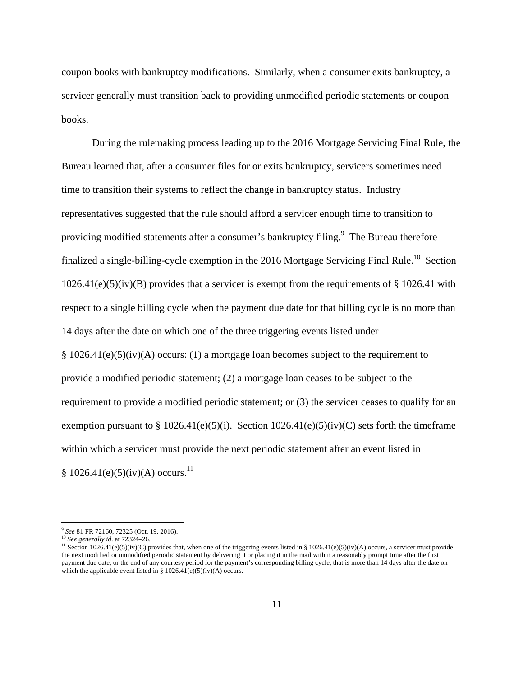coupon books with bankruptcy modifications. Similarly, when a consumer exits bankruptcy, a servicer generally must transition back to providing unmodified periodic statements or coupon books.

During the rulemaking process leading up to the 2016 Mortgage Servicing Final Rule, the Bureau learned that, after a consumer files for or exits bankruptcy, servicers sometimes need time to transition their systems to reflect the change in bankruptcy status. Industry representatives suggested that the rule should afford a servicer enough time to transition to providing modified statements after a consumer's bankruptcy filing.<sup>9</sup> The Bureau therefore finalized a single-billing-cycle exemption in the 2016 Mortgage Servicing Final Rule.<sup>10</sup> Section  $1026.41(e)(5)(iv)(B)$  provides that a servicer is exempt from the requirements of § 1026.41 with respect to a single billing cycle when the payment due date for that billing cycle is no more than 14 days after the date on which one of the three triggering events listed under § 1026.41(e)(5)(iv)(A) occurs: (1) a mortgage loan becomes subject to the requirement to provide a modified periodic statement; (2) a mortgage loan ceases to be subject to the requirement to provide a modified periodic statement; or (3) the servicer ceases to qualify for an exemption pursuant to  $\S 1026.41(e)(5)(i)$ . Section  $1026.41(e)(5)(iv)(C)$  sets forth the timeframe within which a servicer must provide the next periodic statement after an event listed in  $§ 1026.41(e)(5)(iv)(A) occurs.<sup>11</sup>$ 

 $\overline{a}$ 

<sup>&</sup>lt;sup>9</sup> See 81 FR 72160, 72325 (Oct. 19, 2016).<br><sup>10</sup> See generally id. at 72324–26.<br><sup>11</sup> Section 1026.41(e)(5)(iv)(C) provides that, when one of the triggering events listed in § 1026.41(e)(5)(iv)(A) occurs, a servicer must p the next modified or unmodified periodic statement by delivering it or placing it in the mail within a reasonably prompt time after the first payment due date, or the end of any courtesy period for the payment's corresponding billing cycle, that is more than 14 days after the date on which the applicable event listed in §  $1026.41(e)(5)(iv)(A)$  occurs.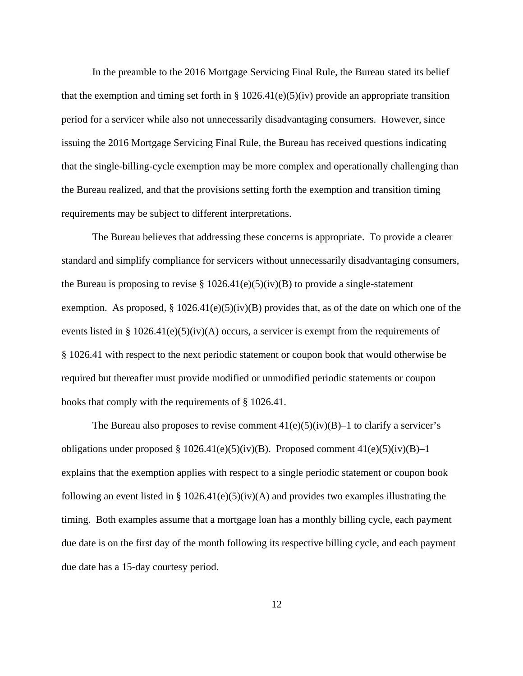In the preamble to the 2016 Mortgage Servicing Final Rule, the Bureau stated its belief that the exemption and timing set forth in § 1026.41(e)(5)(iv) provide an appropriate transition period for a servicer while also not unnecessarily disadvantaging consumers. However, since issuing the 2016 Mortgage Servicing Final Rule, the Bureau has received questions indicating that the single-billing-cycle exemption may be more complex and operationally challenging than the Bureau realized, and that the provisions setting forth the exemption and transition timing requirements may be subject to different interpretations.

The Bureau believes that addressing these concerns is appropriate. To provide a clearer standard and simplify compliance for servicers without unnecessarily disadvantaging consumers, the Bureau is proposing to revise  $\S 1026.41(e)(5)(iv)(B)$  to provide a single-statement exemption. As proposed,  $\S 1026.41(e)(5)(iv)(B)$  provides that, as of the date on which one of the events listed in § 1026.41(e)(5)(iv)(A) occurs, a servicer is exempt from the requirements of § 1026.41 with respect to the next periodic statement or coupon book that would otherwise be required but thereafter must provide modified or unmodified periodic statements or coupon books that comply with the requirements of § 1026.41.

The Bureau also proposes to revise comment  $41(e)(5)(iv)(B)-1$  to clarify a servicer's obligations under proposed  $\S 1026.41(e)(5)(iv)(B)$ . Proposed comment  $41(e)(5)(iv)(B)-1$ explains that the exemption applies with respect to a single periodic statement or coupon book following an event listed in §  $1026.41(e)(5)(iv)(A)$  and provides two examples illustrating the timing. Both examples assume that a mortgage loan has a monthly billing cycle, each payment due date is on the first day of the month following its respective billing cycle, and each payment due date has a 15-day courtesy period.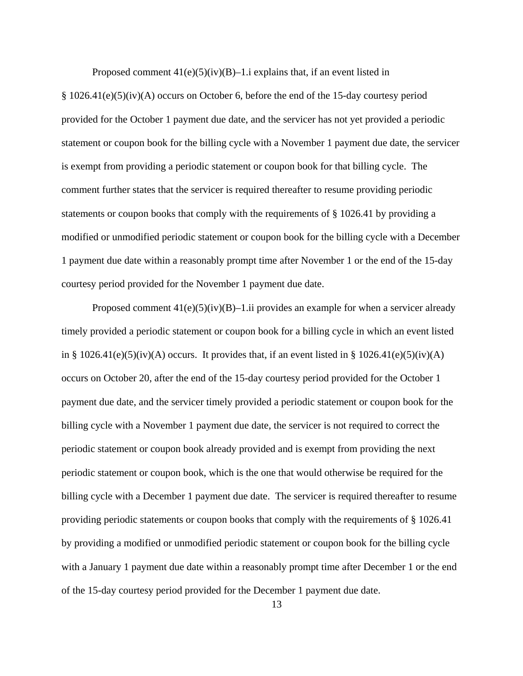Proposed comment  $41(e)(5)(iv)(B)-1.i$  explains that, if an event listed in

§ 1026.41(e)(5)(iv)(A) occurs on October 6, before the end of the 15-day courtesy period provided for the October 1 payment due date, and the servicer has not yet provided a periodic statement or coupon book for the billing cycle with a November 1 payment due date, the servicer is exempt from providing a periodic statement or coupon book for that billing cycle. The comment further states that the servicer is required thereafter to resume providing periodic statements or coupon books that comply with the requirements of § 1026.41 by providing a modified or unmodified periodic statement or coupon book for the billing cycle with a December 1 payment due date within a reasonably prompt time after November 1 or the end of the 15-day courtesy period provided for the November 1 payment due date.

Proposed comment  $41(e)(5)(iv)(B)-1$ .ii provides an example for when a servicer already timely provided a periodic statement or coupon book for a billing cycle in which an event listed in § 1026.41(e)(5)(iv)(A) occurs. It provides that, if an event listed in § 1026.41(e)(5)(iv)(A) occurs on October 20, after the end of the 15-day courtesy period provided for the October 1 payment due date, and the servicer timely provided a periodic statement or coupon book for the billing cycle with a November 1 payment due date, the servicer is not required to correct the periodic statement or coupon book already provided and is exempt from providing the next periodic statement or coupon book, which is the one that would otherwise be required for the billing cycle with a December 1 payment due date. The servicer is required thereafter to resume providing periodic statements or coupon books that comply with the requirements of § 1026.41 by providing a modified or unmodified periodic statement or coupon book for the billing cycle with a January 1 payment due date within a reasonably prompt time after December 1 or the end of the 15-day courtesy period provided for the December 1 payment due date.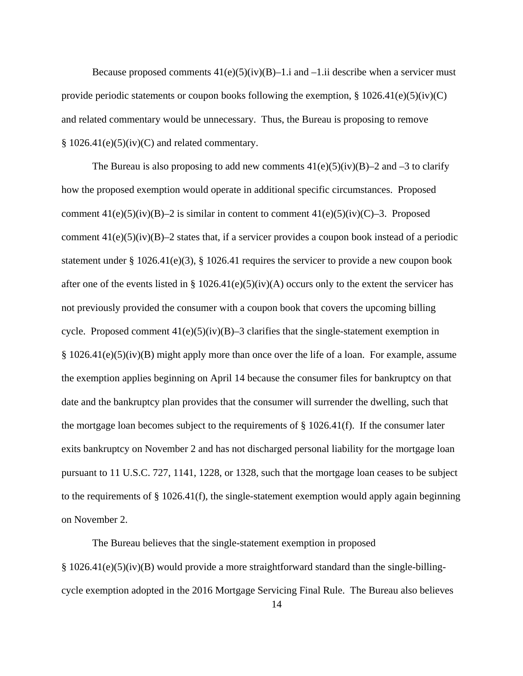Because proposed comments  $41(e)(5)(iv)(B)-1.i$  and  $-1.ii$  describe when a servicer must provide periodic statements or coupon books following the exemption,  $\S 1026.41(e)(5)(iv)(C)$ and related commentary would be unnecessary. Thus, the Bureau is proposing to remove  $§ 1026.41(e)(5)(iv)(C)$  and related commentary.

The Bureau is also proposing to add new comments  $41(e)(5)(iv)(B)-2$  and  $-3$  to clarify how the proposed exemption would operate in additional specific circumstances. Proposed comment  $41(e)(5)(iv)(B)-2$  is similar in content to comment  $41(e)(5)(iv)(C)-3$ . Proposed comment  $41(e)(5)(iv)(B)-2$  states that, if a servicer provides a coupon book instead of a periodic statement under § 1026.41(e)(3), § 1026.41 requires the servicer to provide a new coupon book after one of the events listed in § 1026.41(e)(5)(iv)(A) occurs only to the extent the servicer has not previously provided the consumer with a coupon book that covers the upcoming billing cycle. Proposed comment  $41(e)(5)(iv)(B)-3$  clarifies that the single-statement exemption in § 1026.41(e)(5)(iv)(B) might apply more than once over the life of a loan. For example, assume the exemption applies beginning on April 14 because the consumer files for bankruptcy on that date and the bankruptcy plan provides that the consumer will surrender the dwelling, such that the mortgage loan becomes subject to the requirements of  $\S 1026.41(f)$ . If the consumer later exits bankruptcy on November 2 and has not discharged personal liability for the mortgage loan pursuant to 11 U.S.C. 727, 1141, 1228, or 1328, such that the mortgage loan ceases to be subject to the requirements of  $\S 1026.41(f)$ , the single-statement exemption would apply again beginning on November 2.

The Bureau believes that the single-statement exemption in proposed § 1026.41(e)(5)(iv)(B) would provide a more straightforward standard than the single-billingcycle exemption adopted in the 2016 Mortgage Servicing Final Rule. The Bureau also believes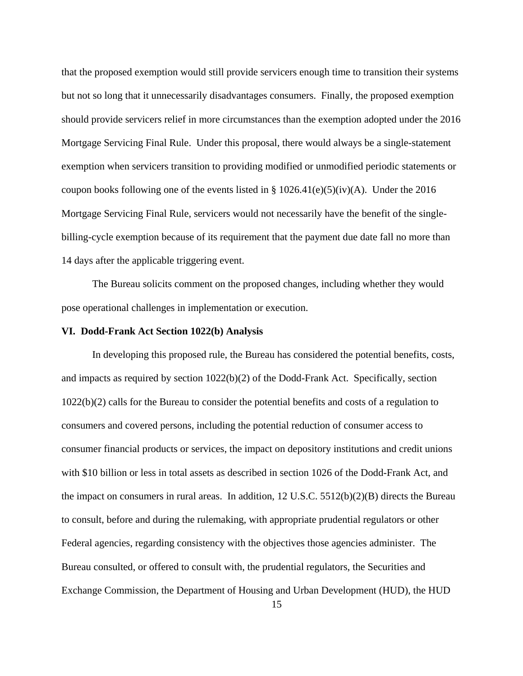that the proposed exemption would still provide servicers enough time to transition their systems but not so long that it unnecessarily disadvantages consumers. Finally, the proposed exemption should provide servicers relief in more circumstances than the exemption adopted under the 2016 Mortgage Servicing Final Rule. Under this proposal, there would always be a single-statement exemption when servicers transition to providing modified or unmodified periodic statements or coupon books following one of the events listed in §  $1026.41(e)(5)(iv)(A)$ . Under the 2016 Mortgage Servicing Final Rule, servicers would not necessarily have the benefit of the singlebilling-cycle exemption because of its requirement that the payment due date fall no more than 14 days after the applicable triggering event.

The Bureau solicits comment on the proposed changes, including whether they would pose operational challenges in implementation or execution.

#### **VI. Dodd-Frank Act Section 1022(b) Analysis**

In developing this proposed rule, the Bureau has considered the potential benefits, costs, and impacts as required by section 1022(b)(2) of the Dodd-Frank Act. Specifically, section 1022(b)(2) calls for the Bureau to consider the potential benefits and costs of a regulation to consumers and covered persons, including the potential reduction of consumer access to consumer financial products or services, the impact on depository institutions and credit unions with \$10 billion or less in total assets as described in section 1026 of the Dodd-Frank Act, and the impact on consumers in rural areas. In addition,  $12 \text{ U.S.C. } 5512(b)(2)(B)$  directs the Bureau to consult, before and during the rulemaking, with appropriate prudential regulators or other Federal agencies, regarding consistency with the objectives those agencies administer. The Bureau consulted, or offered to consult with, the prudential regulators, the Securities and Exchange Commission, the Department of Housing and Urban Development (HUD), the HUD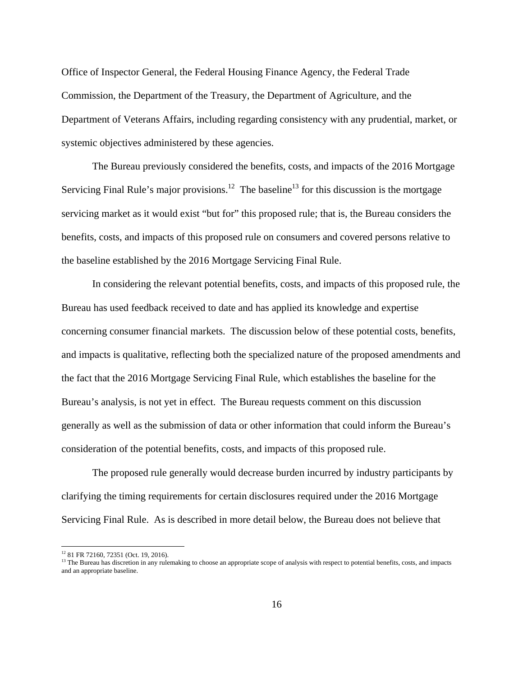Office of Inspector General, the Federal Housing Finance Agency, the Federal Trade Commission, the Department of the Treasury, the Department of Agriculture, and the Department of Veterans Affairs, including regarding consistency with any prudential, market, or systemic objectives administered by these agencies.

The Bureau previously considered the benefits, costs, and impacts of the 2016 Mortgage Servicing Final Rule's major provisions.<sup>12</sup> The baseline<sup>13</sup> for this discussion is the mortgage servicing market as it would exist "but for" this proposed rule; that is, the Bureau considers the benefits, costs, and impacts of this proposed rule on consumers and covered persons relative to the baseline established by the 2016 Mortgage Servicing Final Rule.

In considering the relevant potential benefits, costs, and impacts of this proposed rule, the Bureau has used feedback received to date and has applied its knowledge and expertise concerning consumer financial markets. The discussion below of these potential costs, benefits, and impacts is qualitative, reflecting both the specialized nature of the proposed amendments and the fact that the 2016 Mortgage Servicing Final Rule, which establishes the baseline for the Bureau's analysis, is not yet in effect. The Bureau requests comment on this discussion generally as well as the submission of data or other information that could inform the Bureau's consideration of the potential benefits, costs, and impacts of this proposed rule.

The proposed rule generally would decrease burden incurred by industry participants by clarifying the timing requirements for certain disclosures required under the 2016 Mortgage Servicing Final Rule. As is described in more detail below, the Bureau does not believe that

 $\overline{a}$ 

<sup>12 81</sup> FR 72160, 72351 (Oct. 19, 2016).

<sup>&</sup>lt;sup>13</sup> The Bureau has discretion in any rulemaking to choose an appropriate scope of analysis with respect to potential benefits, costs, and impacts and an appropriate baseline.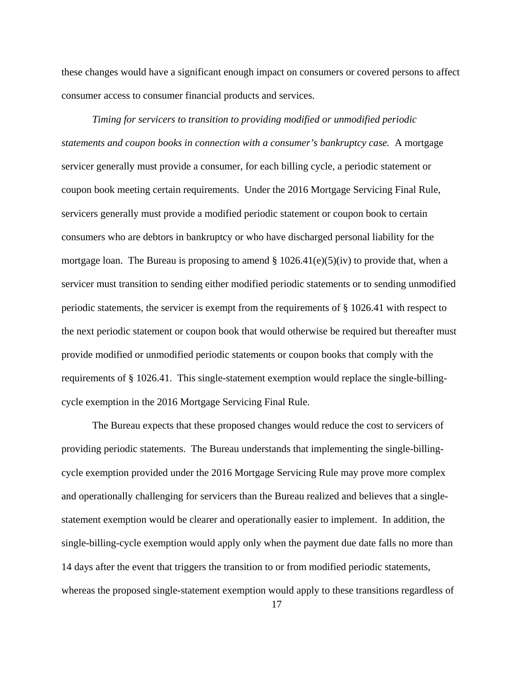these changes would have a significant enough impact on consumers or covered persons to affect consumer access to consumer financial products and services.

*Timing for servicers to transition to providing modified or unmodified periodic statements and coupon books in connection with a consumer's bankruptcy case.* A mortgage servicer generally must provide a consumer, for each billing cycle, a periodic statement or coupon book meeting certain requirements. Under the 2016 Mortgage Servicing Final Rule, servicers generally must provide a modified periodic statement or coupon book to certain consumers who are debtors in bankruptcy or who have discharged personal liability for the mortgage loan. The Bureau is proposing to amend  $\S 1026.41(e)(5)(iv)$  to provide that, when a servicer must transition to sending either modified periodic statements or to sending unmodified periodic statements, the servicer is exempt from the requirements of § 1026.41 with respect to the next periodic statement or coupon book that would otherwise be required but thereafter must provide modified or unmodified periodic statements or coupon books that comply with the requirements of § 1026.41. This single-statement exemption would replace the single-billingcycle exemption in the 2016 Mortgage Servicing Final Rule.

The Bureau expects that these proposed changes would reduce the cost to servicers of providing periodic statements. The Bureau understands that implementing the single-billingcycle exemption provided under the 2016 Mortgage Servicing Rule may prove more complex and operationally challenging for servicers than the Bureau realized and believes that a singlestatement exemption would be clearer and operationally easier to implement. In addition, the single-billing-cycle exemption would apply only when the payment due date falls no more than 14 days after the event that triggers the transition to or from modified periodic statements, whereas the proposed single-statement exemption would apply to these transitions regardless of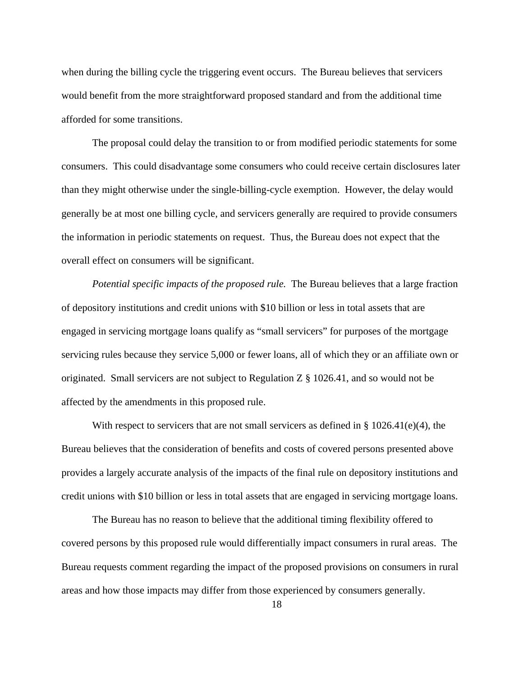when during the billing cycle the triggering event occurs. The Bureau believes that servicers would benefit from the more straightforward proposed standard and from the additional time afforded for some transitions.

The proposal could delay the transition to or from modified periodic statements for some consumers. This could disadvantage some consumers who could receive certain disclosures later than they might otherwise under the single-billing-cycle exemption. However, the delay would generally be at most one billing cycle, and servicers generally are required to provide consumers the information in periodic statements on request. Thus, the Bureau does not expect that the overall effect on consumers will be significant.

*Potential specific impacts of the proposed rule.* The Bureau believes that a large fraction of depository institutions and credit unions with \$10 billion or less in total assets that are engaged in servicing mortgage loans qualify as "small servicers" for purposes of the mortgage servicing rules because they service 5,000 or fewer loans, all of which they or an affiliate own or originated. Small servicers are not subject to Regulation Z § 1026.41, and so would not be affected by the amendments in this proposed rule.

With respect to servicers that are not small servicers as defined in § 1026.41(e)(4), the Bureau believes that the consideration of benefits and costs of covered persons presented above provides a largely accurate analysis of the impacts of the final rule on depository institutions and credit unions with \$10 billion or less in total assets that are engaged in servicing mortgage loans.

The Bureau has no reason to believe that the additional timing flexibility offered to covered persons by this proposed rule would differentially impact consumers in rural areas. The Bureau requests comment regarding the impact of the proposed provisions on consumers in rural areas and how those impacts may differ from those experienced by consumers generally.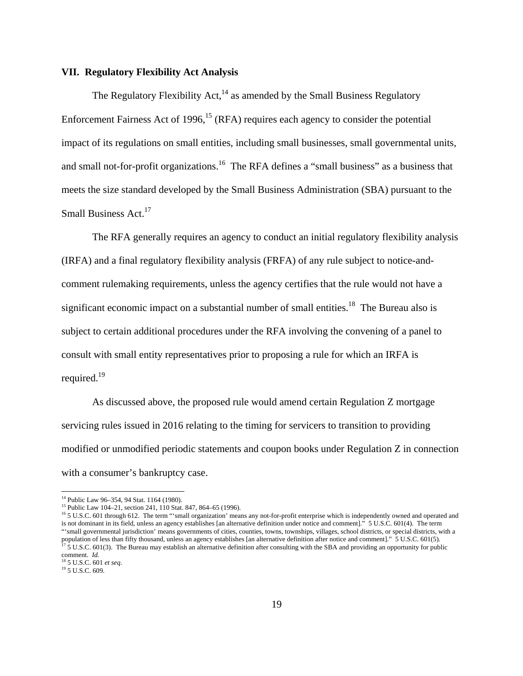#### **VII. Regulatory Flexibility Act Analysis**

The Regulatory Flexibility  $Act<sub>14</sub><sup>14</sup>$  as amended by the Small Business Regulatory Enforcement Fairness Act of 1996,<sup>15</sup> (RFA) requires each agency to consider the potential impact of its regulations on small entities, including small businesses, small governmental units, and small not-for-profit organizations.<sup>16</sup> The RFA defines a "small business" as a business that meets the size standard developed by the Small Business Administration (SBA) pursuant to the Small Business Act.<sup>17</sup>

The RFA generally requires an agency to conduct an initial regulatory flexibility analysis (IRFA) and a final regulatory flexibility analysis (FRFA) of any rule subject to notice-andcomment rulemaking requirements, unless the agency certifies that the rule would not have a significant economic impact on a substantial number of small entities.<sup>18</sup> The Bureau also is subject to certain additional procedures under the RFA involving the convening of a panel to consult with small entity representatives prior to proposing a rule for which an IRFA is required.19

As discussed above, the proposed rule would amend certain Regulation Z mortgage servicing rules issued in 2016 relating to the timing for servicers to transition to providing modified or unmodified periodic statements and coupon books under Regulation Z in connection with a consumer's bankruptcy case.

 $\overline{a}$ 

<sup>14</sup> Public Law 96–354, 94 Stat. 1164 (1980).

<sup>&</sup>lt;sup>15</sup> Public Law 104–21, section 241, 110 Stat. 847, 864–65 (1996).

<sup>&</sup>lt;sup>16</sup> 5 U.S.C. 601 through 612. The term "'small organization' means any not-for-profit enterprise which is independently owned and operated and is not dominant in its field, unless an agency establishes [an alternative definition under notice and comment]." 5 U.S.C. 601(4). The term "'small governmental jurisdiction' means governments of cities, counties, towns, townships, villages, school districts, or special districts, with a population of less than fifty thousand, unless an agency establishes [an alternative definition after notice and comment]." 5 U.S.C. 601(5).<br><sup>17</sup> 5 U.S.C. 601(3). The Bureau may establish an alternative definition after co comment. *Id.*

<sup>18 5</sup> U.S.C. 601 *et seq*. 19 5 U.S.C. 609.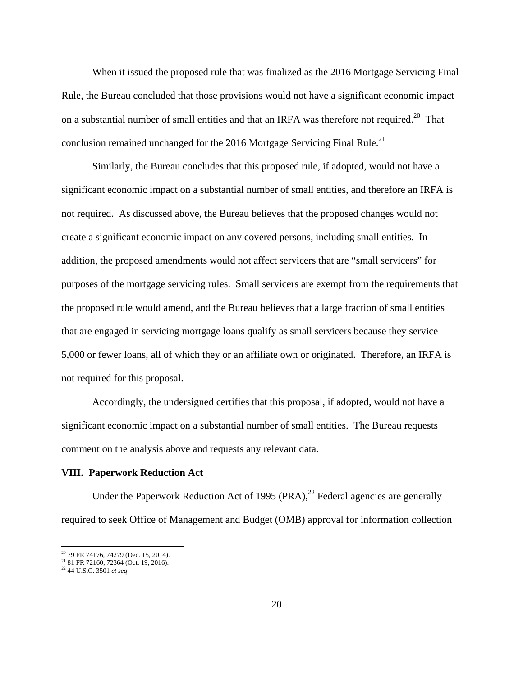When it issued the proposed rule that was finalized as the 2016 Mortgage Servicing Final Rule, the Bureau concluded that those provisions would not have a significant economic impact on a substantial number of small entities and that an IRFA was therefore not required.<sup>20</sup> That conclusion remained unchanged for the 2016 Mortgage Servicing Final Rule.<sup>21</sup>

Similarly, the Bureau concludes that this proposed rule, if adopted, would not have a significant economic impact on a substantial number of small entities, and therefore an IRFA is not required. As discussed above, the Bureau believes that the proposed changes would not create a significant economic impact on any covered persons, including small entities. In addition, the proposed amendments would not affect servicers that are "small servicers" for purposes of the mortgage servicing rules. Small servicers are exempt from the requirements that the proposed rule would amend, and the Bureau believes that a large fraction of small entities that are engaged in servicing mortgage loans qualify as small servicers because they service 5,000 or fewer loans, all of which they or an affiliate own or originated. Therefore, an IRFA is not required for this proposal.

Accordingly, the undersigned certifies that this proposal, if adopted, would not have a significant economic impact on a substantial number of small entities. The Bureau requests comment on the analysis above and requests any relevant data.

#### **VIII. Paperwork Reduction Act**

Under the Paperwork Reduction Act of 1995  $(PRA)<sup>22</sup>$  Federal agencies are generally required to seek Office of Management and Budget (OMB) approval for information collection

<sup>&</sup>lt;sup>20</sup> 79 FR 74176, 74279 (Dec. 15, 2014).

<sup>&</sup>lt;sup>21</sup> 81 FR 72160, 72364 (Oct. 19, 2016).

<sup>22 44</sup> U.S.C. 3501 *et seq*.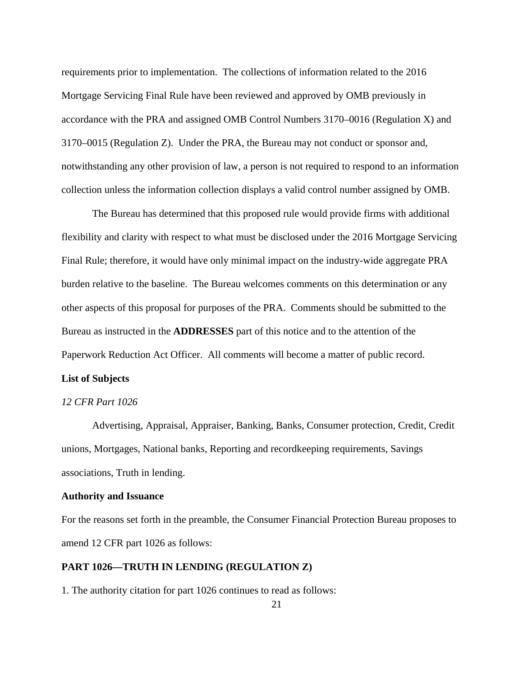requirements prior to implementation. The collections of information related to the 2016 Mortgage Servicing Final Rule have been reviewed and approved by OMB previously in accordance with the PRA and assigned OMB Control Numbers 3170–0016 (Regulation X) and 3170–0015 (Regulation Z). Under the PRA, the Bureau may not conduct or sponsor and, notwithstanding any other provision of law, a person is not required to respond to an information collection unless the information collection displays a valid control number assigned by OMB.

The Bureau has determined that this proposed rule would provide firms with additional flexibility and clarity with respect to what must be disclosed under the 2016 Mortgage Servicing Final Rule; therefore, it would have only minimal impact on the industry-wide aggregate PRA burden relative to the baseline. The Bureau welcomes comments on this determination or any other aspects of this proposal for purposes of the PRA. Comments should be submitted to the Bureau as instructed in the **ADDRESSES** part of this notice and to the attention of the Paperwork Reduction Act Officer. All comments will become a matter of public record.

## **List of Subjects**

#### *12 CFR Part 1026*

Advertising, Appraisal, Appraiser, Banking, Banks, Consumer protection, Credit, Credit unions, Mortgages, National banks, Reporting and recordkeeping requirements, Savings associations, Truth in lending.

#### **Authority and Issuance**

For the reasons set forth in the preamble, the Consumer Financial Protection Bureau proposes to amend 12 CFR part 1026 as follows:

### **PART 1026—TRUTH IN LENDING (REGULATION Z)**

1. The authority citation for part 1026 continues to read as follows: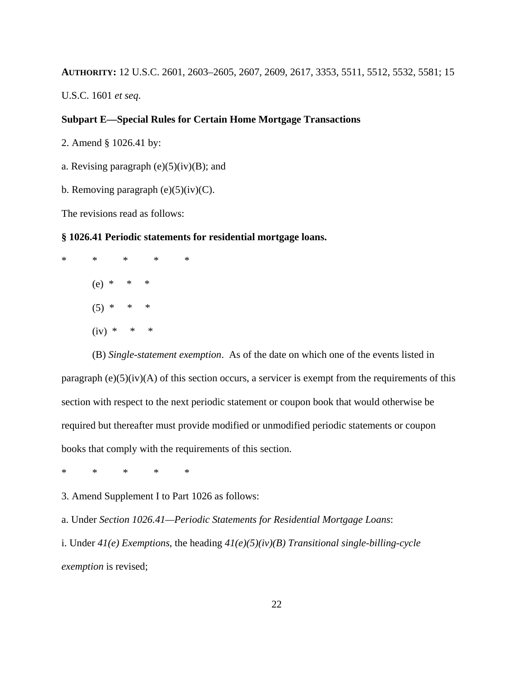**AUTHORITY:** 12 U.S.C. 2601, 2603–2605, 2607, 2609, 2617, 3353, 5511, 5512, 5532, 5581; 15

U.S.C. 1601 *et seq*.

### **Subpart E—Special Rules for Certain Home Mortgage Transactions**

2. Amend § 1026.41 by:

a. Revising paragraph  $(e)(5)(iv)(B)$ ; and

b. Removing paragraph  $(e)(5)(iv)(C)$ .

The revisions read as follows:

### **§ 1026.41 Periodic statements for residential mortgage loans.**

\* \* \* \* \* (e) \* \* \*  $(5) * * * *$  $(iv) * * * * *$ 

(B) *Single-statement exemption*. As of the date on which one of the events listed in paragraph  $(e)(5)(iv)(A)$  of this section occurs, a servicer is exempt from the requirements of this section with respect to the next periodic statement or coupon book that would otherwise be required but thereafter must provide modified or unmodified periodic statements or coupon books that comply with the requirements of this section.

\* \* \* \* \*

3. Amend Supplement I to Part 1026 as follows:

a. Under *Section 1026.41—Periodic Statements for Residential Mortgage Loans*:

i. Under *41(e) Exemptions*, the heading *41(e)(5)(iv)(B) Transitional single-billing-cycle exemption* is revised;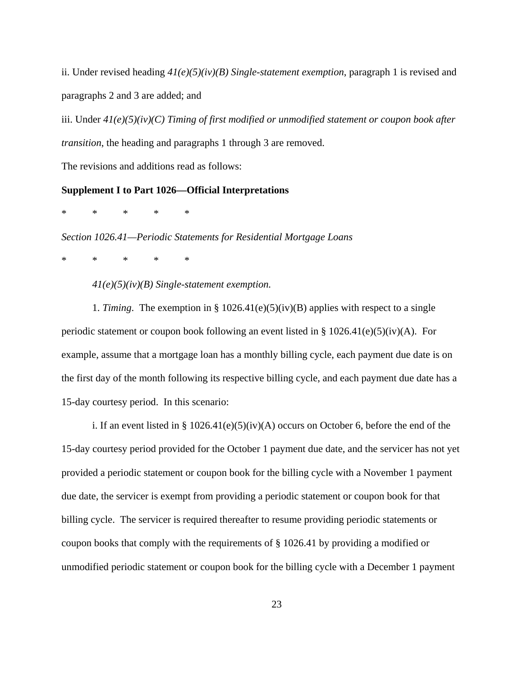ii. Under revised heading *41(e)(5)(iv)(B) Single-statement exemption*, paragraph 1 is revised and paragraphs 2 and 3 are added; and

iii. Under *41(e)(5)(iv)(C) Timing of first modified or unmodified statement or coupon book after transition*, the heading and paragraphs 1 through 3 are removed.

The revisions and additions read as follows:

### **Supplement I to Part 1026—Official Interpretations**

\* \* \* \* \*

*Section 1026.41—Periodic Statements for Residential Mortgage Loans* 

\* \* \* \* \*

*41(e)(5)(iv)(B) Single-statement exemption.* 

1. *Timing*. The exemption in § 1026.41(e)(5)(iv)(B) applies with respect to a single periodic statement or coupon book following an event listed in § 1026.41(e)(5)(iv)(A). For example, assume that a mortgage loan has a monthly billing cycle, each payment due date is on the first day of the month following its respective billing cycle, and each payment due date has a 15-day courtesy period. In this scenario:

i. If an event listed in §  $1026.41(e)(5)(iv)(A)$  occurs on October 6, before the end of the 15-day courtesy period provided for the October 1 payment due date, and the servicer has not yet provided a periodic statement or coupon book for the billing cycle with a November 1 payment due date, the servicer is exempt from providing a periodic statement or coupon book for that billing cycle. The servicer is required thereafter to resume providing periodic statements or coupon books that comply with the requirements of § 1026.41 by providing a modified or unmodified periodic statement or coupon book for the billing cycle with a December 1 payment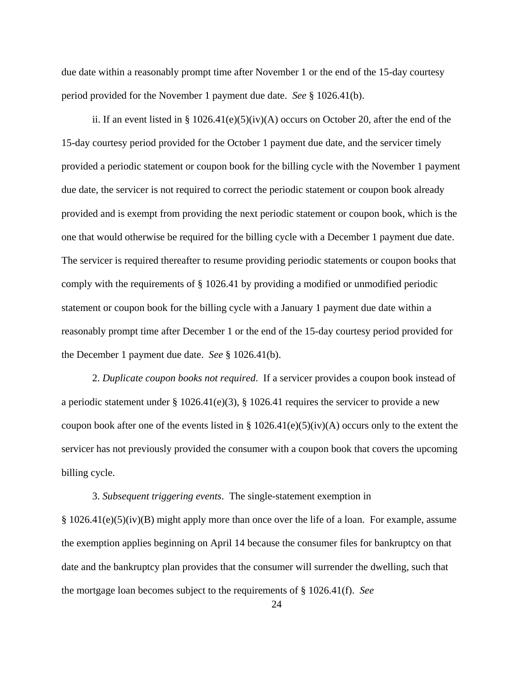due date within a reasonably prompt time after November 1 or the end of the 15-day courtesy period provided for the November 1 payment due date. *See* § 1026.41(b).

ii. If an event listed in § 1026.41(e)(5)(iv)(A) occurs on October 20, after the end of the 15-day courtesy period provided for the October 1 payment due date, and the servicer timely provided a periodic statement or coupon book for the billing cycle with the November 1 payment due date, the servicer is not required to correct the periodic statement or coupon book already provided and is exempt from providing the next periodic statement or coupon book, which is the one that would otherwise be required for the billing cycle with a December 1 payment due date. The servicer is required thereafter to resume providing periodic statements or coupon books that comply with the requirements of § 1026.41 by providing a modified or unmodified periodic statement or coupon book for the billing cycle with a January 1 payment due date within a reasonably prompt time after December 1 or the end of the 15-day courtesy period provided for the December 1 payment due date. *See* § 1026.41(b).

2. *Duplicate coupon books not required*. If a servicer provides a coupon book instead of a periodic statement under  $\S 1026.41(e)(3)$ ,  $\S 1026.41$  requires the servicer to provide a new coupon book after one of the events listed in §  $1026.41(e)(5)(iv)(A)$  occurs only to the extent the servicer has not previously provided the consumer with a coupon book that covers the upcoming billing cycle.

3. *Subsequent triggering events*. The single-statement exemption in § 1026.41(e)(5)(iv)(B) might apply more than once over the life of a loan. For example, assume the exemption applies beginning on April 14 because the consumer files for bankruptcy on that date and the bankruptcy plan provides that the consumer will surrender the dwelling, such that the mortgage loan becomes subject to the requirements of § 1026.41(f). *See*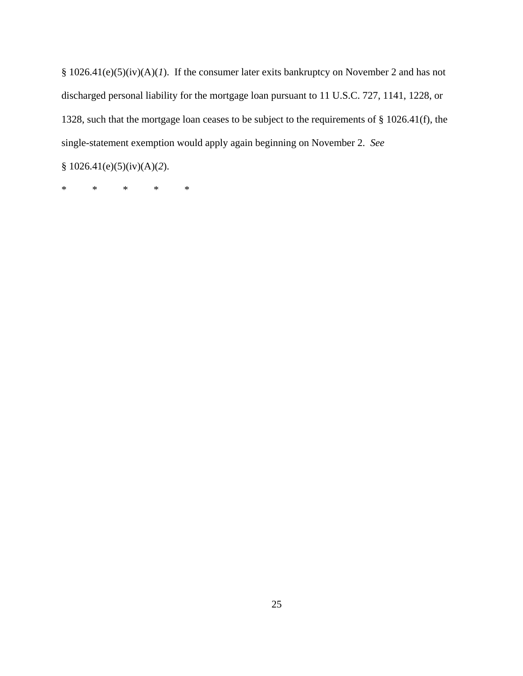§ 1026.41(e)(5)(iv)(A)(*1*). If the consumer later exits bankruptcy on November 2 and has not discharged personal liability for the mortgage loan pursuant to 11 U.S.C. 727, 1141, 1228, or 1328, such that the mortgage loan ceases to be subject to the requirements of § 1026.41(f), the single-statement exemption would apply again beginning on November 2. *See*

§ 1026.41(e)(5)(iv)(A)(*2*).

\* \* \* \* \*